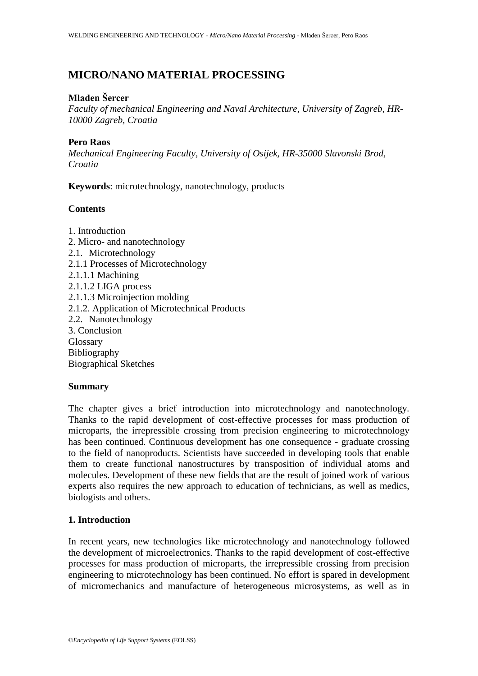# **MICRO/NANO MATERIAL PROCESSING**

# **Mladen Šercer**

*Faculty of mechanical Engineering and Naval Architecture, University of Zagreb, HR-10000 Zagreb, Croatia*

### **Pero Raos**

*Mechanical Engineering Faculty, University of Osijek, HR-35000 Slavonski Brod, Croatia*

**Keywords**: microtechnology, nanotechnology, products

# **Contents**

1. Introduction 2. Micro- and nanotechnology 2.1. Microtechnology 2.1.1 Processes of Microtechnology 2.1.1.1 Machining 2.1.1.2 LIGA process 2.1.1.3 Microinjection molding 2.1.2. Application of Microtechnical Products 2.2. Nanotechnology 3. Conclusion Glossary Bibliography Biographical Sketches

#### **Summary**

The chapter gives a brief introduction into microtechnology and nanotechnology. Thanks to the rapid development of cost-effective processes for mass production of microparts, the irrepressible crossing from precision engineering to microtechnology has been continued. Continuous development has one consequence - graduate crossing to the field of nanoproducts. Scientists have succeeded in developing tools that enable them to create functional nanostructures by transposition of individual atoms and molecules. Development of these new fields that are the result of joined work of various experts also requires the new approach to education of technicians, as well as medics, biologists and others.

# **1. Introduction**

In recent years, new technologies like microtechnology and nanotechnology followed the development of microelectronics. Thanks to the rapid development of cost-effective processes for mass production of microparts, the irrepressible crossing from precision engineering to microtechnology has been continued. No effort is spared in development of micromechanics and manufacture of heterogeneous microsystems, as well as in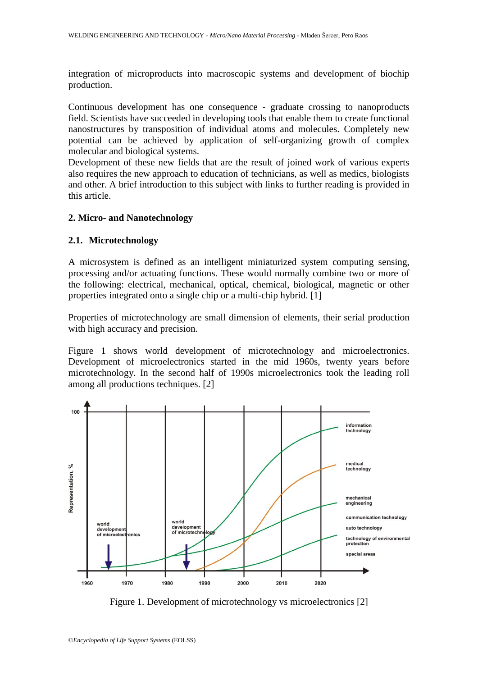integration of microproducts into macroscopic systems and development of biochip production.

Continuous development has one consequence - graduate crossing to nanoproducts field. Scientists have succeeded in developing tools that enable them to create functional nanostructures by transposition of individual atoms and molecules. Completely new potential can be achieved by application of self-organizing growth of complex molecular and biological systems.

Development of these new fields that are the result of joined work of various experts also requires the new approach to education of technicians, as well as medics, biologists and other. A brief introduction to this subject with links to further reading is provided in this article.

# **2. Micro- and Nanotechnology**

### **2.1. Microtechnology**

A microsystem is defined as an intelligent miniaturized system computing sensing, processing and/or actuating functions. These would normally combine two or more of the following: electrical, mechanical, optical, chemical, biological, magnetic or other properties integrated onto a single chip or a multi-chip hybrid. [1]

Properties of microtechnology are small dimension of elements, their serial production with high accuracy and precision.

Figure 1 shows world development of microtechnology and microelectronics. Development of microelectronics started in the mid 1960s, twenty years before microtechnology. In the second half of 1990s microelectronics took the leading roll among all productions techniques. [2]



Figure 1. Development of microtechnology vs microelectronics [2]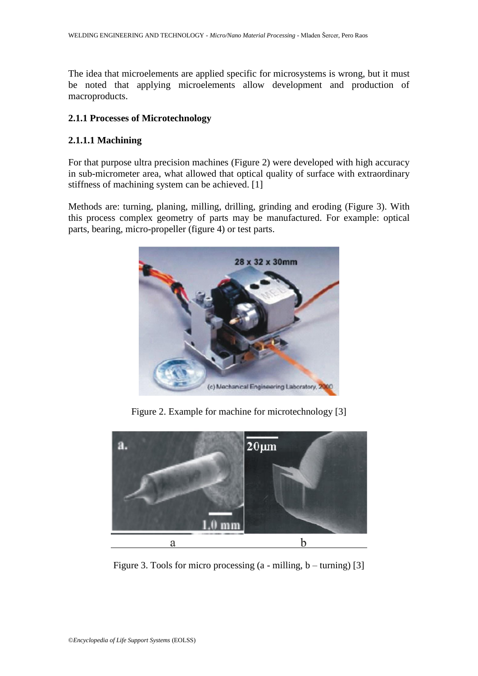The idea that microelements are applied specific for microsystems is wrong, but it must be noted that applying microelements allow development and production of macroproducts.

### **2.1.1 Processes of Microtechnology**

# **2.1.1.1 Machining**

For that purpose ultra precision machines (Figure 2) were developed with high accuracy in sub-micrometer area, what allowed that optical quality of surface with extraordinary stiffness of machining system can be achieved. [1]

Methods are: turning, planing, milling, drilling, grinding and eroding (Figure 3). With this process complex geometry of parts may be manufactured. For example: optical parts, bearing, micro-propeller (figure 4) or test parts.



Figure 2. Example for machine for microtechnology [3]



Figure 3. Tools for micro processing  $(a - \text{milling}, b - \text{turning})$  [3]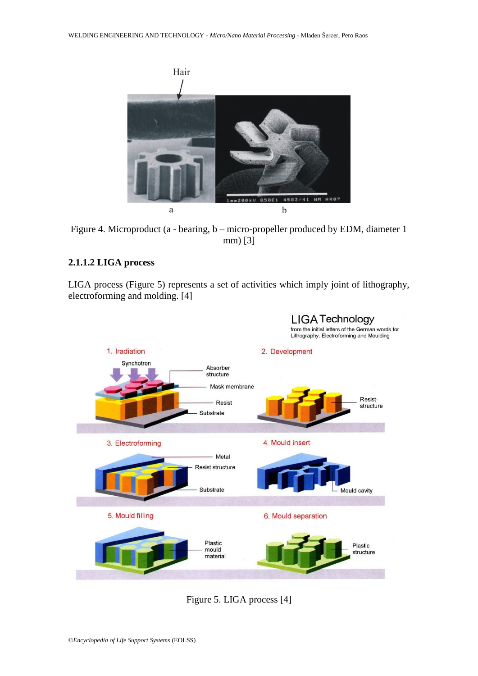

Figure 4. Microproduct (a - bearing, b – micro-propeller produced by EDM, diameter 1 mm) [3]

# **2.1.1.2 LIGA process**

LIGA process (Figure 5) represents a set of activities which imply joint of lithography, electroforming and molding. [4]



Figure 5. LIGA process [4]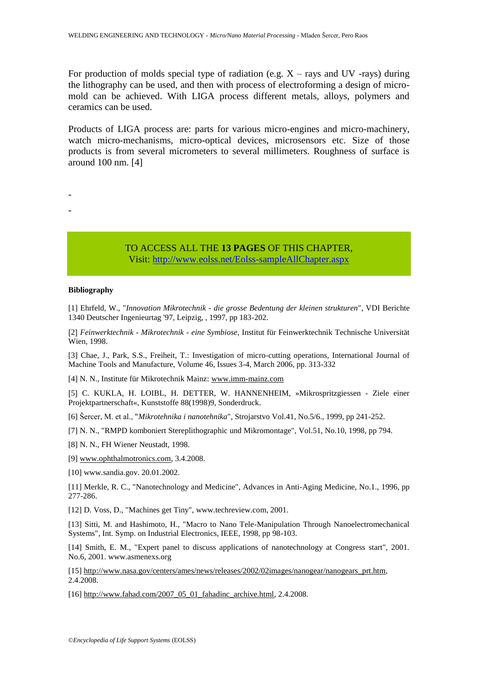For production of molds special type of radiation (e.g.  $X$  – rays and UV -rays) during the lithography can be used, and then with process of electroforming a design of micromold can be achieved. With LIGA process different metals, alloys, polymers and ceramics can be used.

Products of LIGA process are: parts for various micro-engines and micro-machinery, watch micro-mechanisms, micro-optical devices, microsensors etc. Size of those products is from several micrometers to several millimeters. Roughness of surface is around 100 nm. [4]

> TO ACCESS ALL THE **13 PAGES** OF THIS CHAPTER, Visi[t: http://www.eolss.net/Eolss-sampleAllChapter.aspx](https://www.eolss.net/ebooklib/sc_cart.aspx?File=E6-171-09)

#### **Bibliography**

- -

[1] Ehrfeld, W., "*Innovation Mikrotechnik - die grosse Bedentung der kleinen strukturen*", VDI Berichte 1340 Deutscher Ingenieurtag '97, Leipzig, , 1997, pp 183-202.

2 *Feinwerktechnik - Mikrotechnik - eine Symbiose*, Institut für Feinwerktechnik Technische Universität Wien, 1998.

[3] Chae, J., Park, S.S., Freiheit, T.: Investigation of micro-cutting operations, International Journal of Machine Tools and Manufacture, Volume 46, Issues 3-4, March 2006, pp. 313-332

[4] N. N., Institute für Mikrotechnik Mainz: [www.imm-mainz.com](http://www.imm-mainz.com/)

5 C. KUKLA, H. LOIBL, H. DETTER, W. HANNENHEIM, »Mikrospritzgiessen - Ziele einer Projektpartnerschaft«, Kunststoffe 88(1998)9, Sonderdruck.

[6] Šercer, M. et al., "*Mikrotehnika i nanotehnika*", Strojarstvo Vol.41, No.5/6., 1999, pp 241-252.

[7] N. N., "RMPD komboniert Stereplithographic und Mikromontage", Vol.51, No.10, 1998, pp 794.

[8] N. N., FH Wiener Neustadt, 1998.

[9] [www.ophthalmotronics.com,](http://www.ophthalmotronics.com/) 3.4.2008.

[10] www.sandia.gov. 20.01.2002.

[11] Merkle, R. C., "Nanotechnology and Medicine", Advances in Anti-Aging Medicine, No.1., 1996, pp 277-286.

[12] D. Voss, D., "Machines get Tiny", www.techreview.com, 2001.

[13] Sitti, M. and Hashimoto, H., "Macro to Nano Tele-Manipulation Through Nanoelectromechanical Systems", Int. Symp. on Industrial Electronics, IEEE, 1998, pp 98-103.

[14] Smith, E. M., "Expert panel to discuss applications of nanotechnology at Congress start", 2001. No.6, 2001. www.asmenexs.org

[15] [http://www.nasa.gov/centers/ames/news/releases/2002/02images/nanogear/nanogears\\_prt.htm,](http://www.nasa.gov/centers/ames/news/releases/2002/02images/nanogear/nanogears_prt.htm) 2.4.2008.

[16] [http://www.fahad.com/2007\\_05\\_01\\_fahadinc\\_archive.html,](http://www.fahad.com/2007_05_01_fahadinc_archive.html) 2.4.2008.